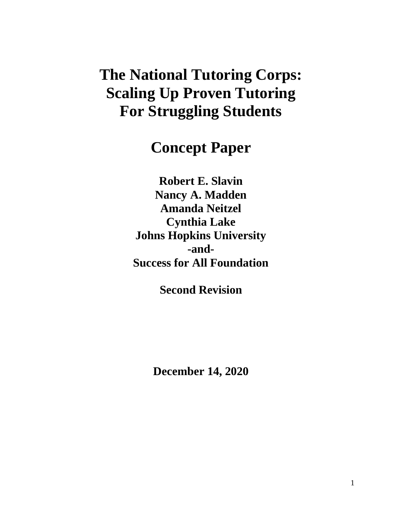# **The National Tutoring Corps: Scaling Up Proven Tutoring For Struggling Students**

# **Concept Paper**

**Robert E. Slavin Nancy A. Madden Amanda Neitzel Cynthia Lake Johns Hopkins University -and-Success for All Foundation**

**Second Revision**

**December 14, 2020**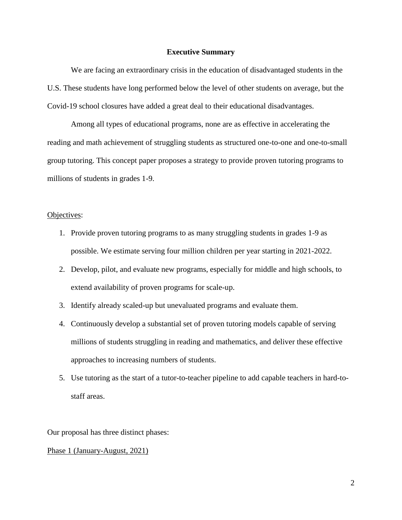#### **Executive Summary**

We are facing an extraordinary crisis in the education of disadvantaged students in the U.S. These students have long performed below the level of other students on average, but the Covid-19 school closures have added a great deal to their educational disadvantages.

Among all types of educational programs, none are as effective in accelerating the reading and math achievement of struggling students as structured one-to-one and one-to-small group tutoring. This concept paper proposes a strategy to provide proven tutoring programs to millions of students in grades 1-9.

# Objectives:

- 1. Provide proven tutoring programs to as many struggling students in grades 1-9 as possible. We estimate serving four million children per year starting in 2021-2022.
- 2. Develop, pilot, and evaluate new programs, especially for middle and high schools, to extend availability of proven programs for scale-up.
- 3. Identify already scaled-up but unevaluated programs and evaluate them.
- 4. Continuously develop a substantial set of proven tutoring models capable of serving millions of students struggling in reading and mathematics, and deliver these effective approaches to increasing numbers of students.
- 5. Use tutoring as the start of a tutor-to-teacher pipeline to add capable teachers in hard-tostaff areas.

Our proposal has three distinct phases:

## Phase 1 (January-August, 2021)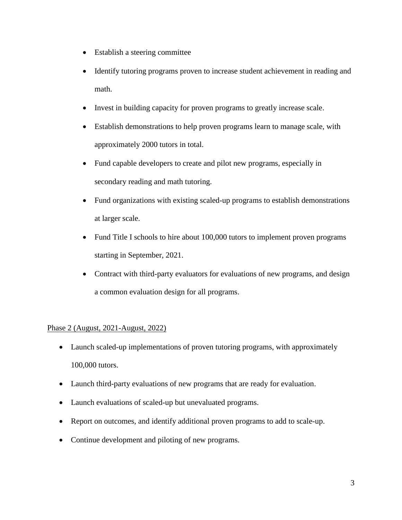- Establish a steering committee
- Identify tutoring programs proven to increase student achievement in reading and math.
- Invest in building capacity for proven programs to greatly increase scale.
- Establish demonstrations to help proven programs learn to manage scale, with approximately 2000 tutors in total.
- Fund capable developers to create and pilot new programs, especially in secondary reading and math tutoring.
- Fund organizations with existing scaled-up programs to establish demonstrations at larger scale.
- Fund Title I schools to hire about 100,000 tutors to implement proven programs starting in September, 2021.
- Contract with third-party evaluators for evaluations of new programs, and design a common evaluation design for all programs.

# Phase 2 (August, 2021-August, 2022)

- Launch scaled-up implementations of proven tutoring programs, with approximately 100,000 tutors.
- Launch third-party evaluations of new programs that are ready for evaluation.
- Launch evaluations of scaled-up but unevaluated programs.
- Report on outcomes, and identify additional proven programs to add to scale-up.
- Continue development and piloting of new programs.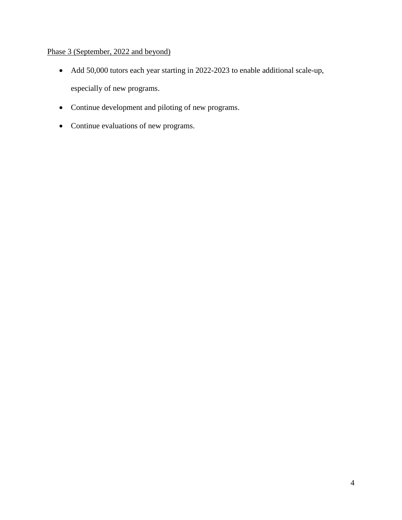# Phase 3 (September, 2022 and beyond)

- Add 50,000 tutors each year starting in 2022-2023 to enable additional scale-up, especially of new programs.
- Continue development and piloting of new programs.
- Continue evaluations of new programs.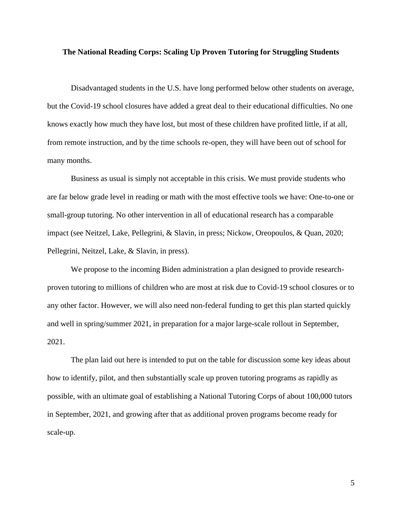#### **The National Reading Corps: Scaling Up Proven Tutoring for Struggling Students**

Disadvantaged students in the U.S. have long performed below other students on average, but the Covid-19 school closures have added a great deal to their educational difficulties. No one knows exactly how much they have lost, but most of these children have profited little, if at all, from remote instruction, and by the time schools re-open, they will have been out of school for many months.

Business as usual is simply not acceptable in this crisis. We must provide students who are far below grade level in reading or math with the most effective tools we have: One-to-one or small-group tutoring. No other intervention in all of educational research has a comparable impact (see Neitzel, Lake, Pellegrini, & Slavin, in press; Nickow, Oreopoulos, & Quan, 2020; Pellegrini, Neitzel, Lake, & Slavin, in press).

We propose to the incoming Biden administration a plan designed to provide researchproven tutoring to millions of children who are most at risk due to Covid-19 school closures or to any other factor. However, we will also need non-federal funding to get this plan started quickly and well in spring/summer 2021, in preparation for a major large-scale rollout in September, 2021.

The plan laid out here is intended to put on the table for discussion some key ideas about how to identify, pilot, and then substantially scale up proven tutoring programs as rapidly as possible, with an ultimate goal of establishing a National Tutoring Corps of about 100,000 tutors in September, 2021, and growing after that as additional proven programs become ready for scale-up.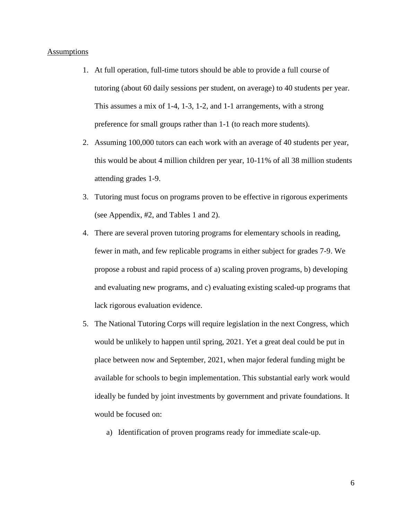#### Assumptions

- 1. At full operation, full-time tutors should be able to provide a full course of tutoring (about 60 daily sessions per student, on average) to 40 students per year. This assumes a mix of 1-4, 1-3, 1-2, and 1-1 arrangements, with a strong preference for small groups rather than 1-1 (to reach more students).
- 2. Assuming 100,000 tutors can each work with an average of 40 students per year, this would be about 4 million children per year, 10-11% of all 38 million students attending grades 1-9.
- 3. Tutoring must focus on programs proven to be effective in rigorous experiments (see Appendix, #2, and Tables 1 and 2).
- 4. There are several proven tutoring programs for elementary schools in reading, fewer in math, and few replicable programs in either subject for grades 7-9. We propose a robust and rapid process of a) scaling proven programs, b) developing and evaluating new programs, and c) evaluating existing scaled-up programs that lack rigorous evaluation evidence.
- 5. The National Tutoring Corps will require legislation in the next Congress, which would be unlikely to happen until spring, 2021. Yet a great deal could be put in place between now and September, 2021, when major federal funding might be available for schools to begin implementation. This substantial early work would ideally be funded by joint investments by government and private foundations. It would be focused on:
	- a) Identification of proven programs ready for immediate scale-up.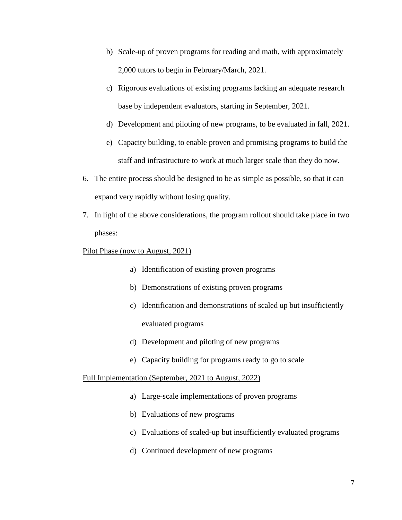- b) Scale-up of proven programs for reading and math, with approximately 2,000 tutors to begin in February/March, 2021.
- c) Rigorous evaluations of existing programs lacking an adequate research base by independent evaluators, starting in September, 2021.
- d) Development and piloting of new programs, to be evaluated in fall, 2021.
- e) Capacity building, to enable proven and promising programs to build the staff and infrastructure to work at much larger scale than they do now.
- 6. The entire process should be designed to be as simple as possible, so that it can expand very rapidly without losing quality.
- 7. In light of the above considerations, the program rollout should take place in two phases:

# Pilot Phase (now to August, 2021)

- a) Identification of existing proven programs
- b) Demonstrations of existing proven programs
- c) Identification and demonstrations of scaled up but insufficiently evaluated programs
- d) Development and piloting of new programs
- e) Capacity building for programs ready to go to scale

## Full Implementation (September, 2021 to August, 2022)

- a) Large-scale implementations of proven programs
- b) Evaluations of new programs
- c) Evaluations of scaled-up but insufficiently evaluated programs
- d) Continued development of new programs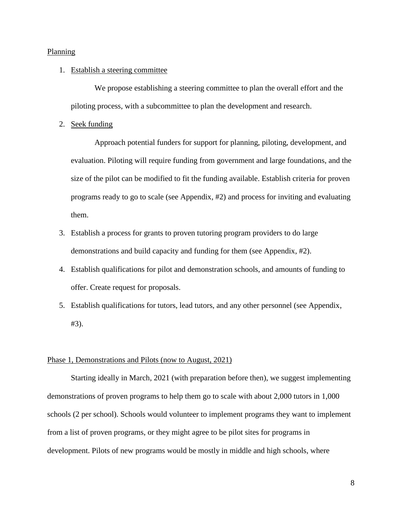#### Planning

## 1. Establish a steering committee

We propose establishing a steering committee to plan the overall effort and the piloting process, with a subcommittee to plan the development and research.

2. Seek funding

Approach potential funders for support for planning, piloting, development, and evaluation. Piloting will require funding from government and large foundations, and the size of the pilot can be modified to fit the funding available. Establish criteria for proven programs ready to go to scale (see Appendix, #2) and process for inviting and evaluating them.

- 3. Establish a process for grants to proven tutoring program providers to do large demonstrations and build capacity and funding for them (see Appendix, #2).
- 4. Establish qualifications for pilot and demonstration schools, and amounts of funding to offer. Create request for proposals.
- 5. Establish qualifications for tutors, lead tutors, and any other personnel (see Appendix, #3).

#### Phase 1, Demonstrations and Pilots (now to August, 2021)

Starting ideally in March, 2021 (with preparation before then), we suggest implementing demonstrations of proven programs to help them go to scale with about 2,000 tutors in 1,000 schools (2 per school). Schools would volunteer to implement programs they want to implement from a list of proven programs, or they might agree to be pilot sites for programs in development. Pilots of new programs would be mostly in middle and high schools, where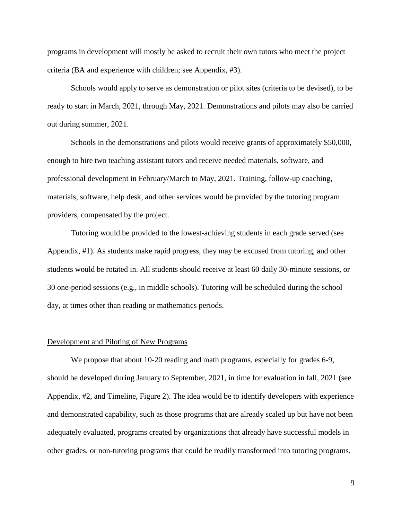programs in development will mostly be asked to recruit their own tutors who meet the project criteria (BA and experience with children; see Appendix, #3).

Schools would apply to serve as demonstration or pilot sites (criteria to be devised), to be ready to start in March, 2021, through May, 2021. Demonstrations and pilots may also be carried out during summer, 2021.

Schools in the demonstrations and pilots would receive grants of approximately \$50,000, enough to hire two teaching assistant tutors and receive needed materials, software, and professional development in February/March to May, 2021. Training, follow-up coaching, materials, software, help desk, and other services would be provided by the tutoring program providers, compensated by the project.

Tutoring would be provided to the lowest-achieving students in each grade served (see Appendix, #1). As students make rapid progress, they may be excused from tutoring, and other students would be rotated in. All students should receive at least 60 daily 30-minute sessions, or 30 one-period sessions (e.g., in middle schools). Tutoring will be scheduled during the school day, at times other than reading or mathematics periods.

#### Development and Piloting of New Programs

We propose that about 10-20 reading and math programs, especially for grades 6-9, should be developed during January to September, 2021, in time for evaluation in fall, 2021 (see Appendix, #2, and Timeline, Figure 2). The idea would be to identify developers with experience and demonstrated capability, such as those programs that are already scaled up but have not been adequately evaluated, programs created by organizations that already have successful models in other grades, or non-tutoring programs that could be readily transformed into tutoring programs,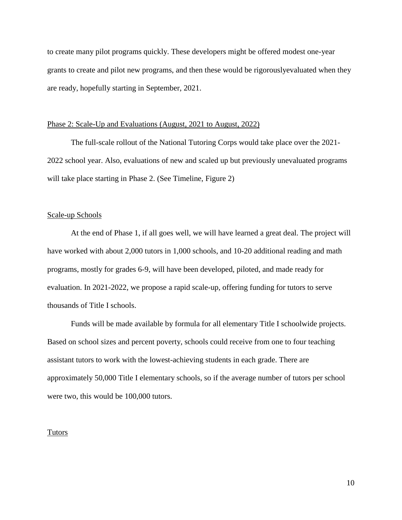to create many pilot programs quickly. These developers might be offered modest one-year grants to create and pilot new programs, and then these would be rigorouslyevaluated when they are ready, hopefully starting in September, 2021.

#### Phase 2: Scale-Up and Evaluations (August, 2021 to August, 2022)

The full-scale rollout of the National Tutoring Corps would take place over the 2021- 2022 school year. Also, evaluations of new and scaled up but previously unevaluated programs will take place starting in Phase 2. (See Timeline, Figure 2)

## Scale-up Schools

At the end of Phase 1, if all goes well, we will have learned a great deal. The project will have worked with about 2,000 tutors in 1,000 schools, and 10-20 additional reading and math programs, mostly for grades 6-9, will have been developed, piloted, and made ready for evaluation. In 2021-2022, we propose a rapid scale-up, offering funding for tutors to serve thousands of Title I schools.

Funds will be made available by formula for all elementary Title I schoolwide projects. Based on school sizes and percent poverty, schools could receive from one to four teaching assistant tutors to work with the lowest-achieving students in each grade. There are approximately 50,000 Title I elementary schools, so if the average number of tutors per school were two, this would be 100,000 tutors.

#### Tutors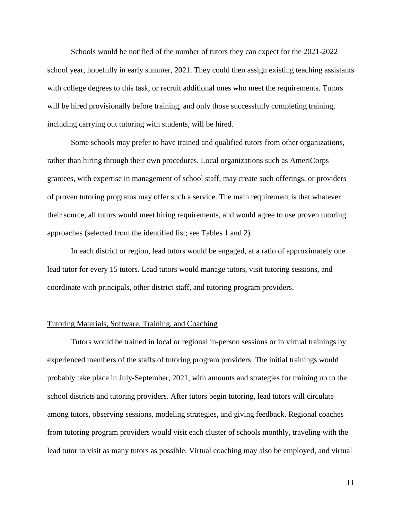Schools would be notified of the number of tutors they can expect for the 2021-2022 school year, hopefully in early summer, 2021. They could then assign existing teaching assistants with college degrees to this task, or recruit additional ones who meet the requirements. Tutors will be hired provisionally before training, and only those successfully completing training, including carrying out tutoring with students, will be hired.

Some schools may prefer to have trained and qualified tutors from other organizations, rather than hiring through their own procedures. Local organizations such as AmeriCorps grantees, with expertise in management of school staff, may create such offerings, or providers of proven tutoring programs may offer such a service. The main requirement is that whatever their source, all tutors would meet hiring requirements, and would agree to use proven tutoring approaches (selected from the identified list; see Tables 1 and 2).

In each district or region, lead tutors would be engaged, at a ratio of approximately one lead tutor for every 15 tutors. Lead tutors would manage tutors, visit tutoring sessions, and coordinate with principals, other district staff, and tutoring program providers.

## Tutoring Materials, Software, Training, and Coaching

Tutors would be trained in local or regional in-person sessions or in virtual trainings by experienced members of the staffs of tutoring program providers. The initial trainings would probably take place in July-September, 2021, with amounts and strategies for training up to the school districts and tutoring providers. After tutors begin tutoring, lead tutors will circulate among tutors, observing sessions, modeling strategies, and giving feedback. Regional coaches from tutoring program providers would visit each cluster of schools monthly, traveling with the lead tutor to visit as many tutors as possible. Virtual coaching may also be employed, and virtual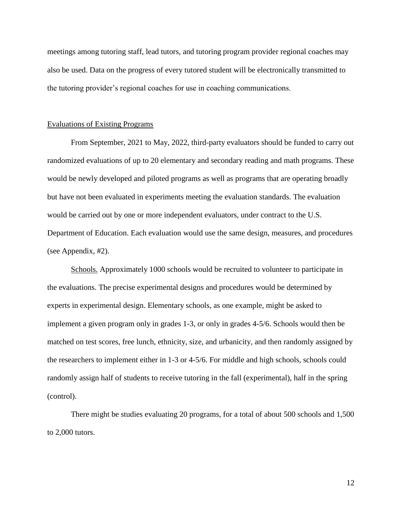meetings among tutoring staff, lead tutors, and tutoring program provider regional coaches may also be used. Data on the progress of every tutored student will be electronically transmitted to the tutoring provider's regional coaches for use in coaching communications.

#### Evaluations of Existing Programs

From September, 2021 to May, 2022, third-party evaluators should be funded to carry out randomized evaluations of up to 20 elementary and secondary reading and math programs. These would be newly developed and piloted programs as well as programs that are operating broadly but have not been evaluated in experiments meeting the evaluation standards. The evaluation would be carried out by one or more independent evaluators, under contract to the U.S. Department of Education. Each evaluation would use the same design, measures, and procedures (see Appendix, #2).

Schools. Approximately 1000 schools would be recruited to volunteer to participate in the evaluations. The precise experimental designs and procedures would be determined by experts in experimental design. Elementary schools, as one example, might be asked to implement a given program only in grades 1-3, or only in grades 4-5/6. Schools would then be matched on test scores, free lunch, ethnicity, size, and urbanicity, and then randomly assigned by the researchers to implement either in 1-3 or 4-5/6. For middle and high schools, schools could randomly assign half of students to receive tutoring in the fall (experimental), half in the spring (control).

There might be studies evaluating 20 programs, for a total of about 500 schools and 1,500 to 2,000 tutors.

12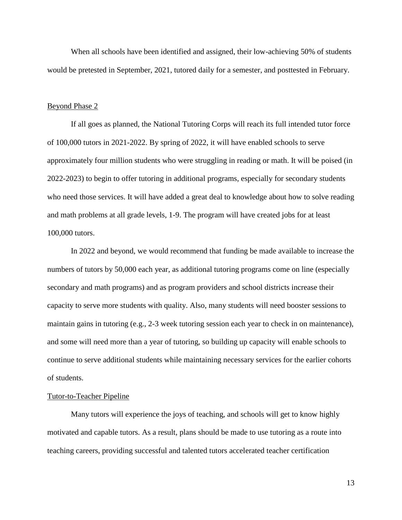When all schools have been identified and assigned, their low-achieving 50% of students would be pretested in September, 2021, tutored daily for a semester, and posttested in February.

#### Beyond Phase 2

If all goes as planned, the National Tutoring Corps will reach its full intended tutor force of 100,000 tutors in 2021-2022. By spring of 2022, it will have enabled schools to serve approximately four million students who were struggling in reading or math. It will be poised (in 2022-2023) to begin to offer tutoring in additional programs, especially for secondary students who need those services. It will have added a great deal to knowledge about how to solve reading and math problems at all grade levels, 1-9. The program will have created jobs for at least 100,000 tutors.

In 2022 and beyond, we would recommend that funding be made available to increase the numbers of tutors by 50,000 each year, as additional tutoring programs come on line (especially secondary and math programs) and as program providers and school districts increase their capacity to serve more students with quality. Also, many students will need booster sessions to maintain gains in tutoring (e.g., 2-3 week tutoring session each year to check in on maintenance), and some will need more than a year of tutoring, so building up capacity will enable schools to continue to serve additional students while maintaining necessary services for the earlier cohorts of students.

#### Tutor-to-Teacher Pipeline

Many tutors will experience the joys of teaching, and schools will get to know highly motivated and capable tutors. As a result, plans should be made to use tutoring as a route into teaching careers, providing successful and talented tutors accelerated teacher certification

13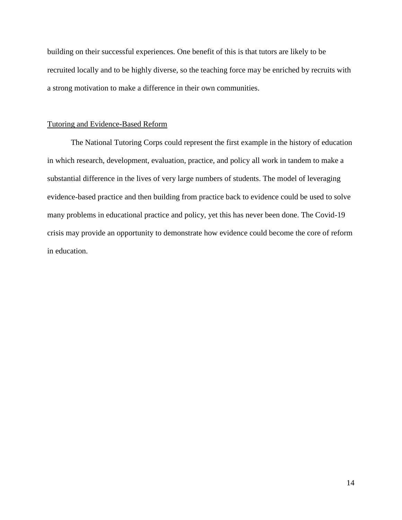building on their successful experiences. One benefit of this is that tutors are likely to be recruited locally and to be highly diverse, so the teaching force may be enriched by recruits with a strong motivation to make a difference in their own communities.

# Tutoring and Evidence-Based Reform

The National Tutoring Corps could represent the first example in the history of education in which research, development, evaluation, practice, and policy all work in tandem to make a substantial difference in the lives of very large numbers of students. The model of leveraging evidence-based practice and then building from practice back to evidence could be used to solve many problems in educational practice and policy, yet this has never been done. The Covid-19 crisis may provide an opportunity to demonstrate how evidence could become the core of reform in education.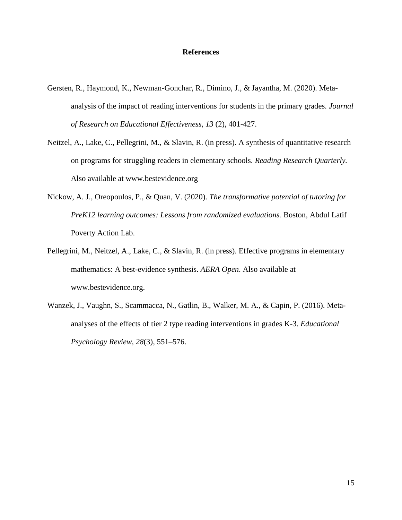#### **References**

- Gersten, R., Haymond, K., Newman-Gonchar, R., Dimino, J., & Jayantha, M. (2020). Metaanalysis of the impact of reading interventions for students in the primary grades*. Journal of Research on Educational Effectiveness, 13* (2), 401-427.
- Neitzel, A., Lake, C., Pellegrini, M., & Slavin, R. (in press). A synthesis of quantitative research on programs for struggling readers in elementary schools. *Reading Research Quarterly.* Also available at www.bestevidence.org
- Nickow, A. J., Oreopoulos, P., & Quan, V. (2020). *The transformative potential of tutoring for PreK12 learning outcomes: Lessons from randomized evaluations.* Boston, Abdul Latif Poverty Action Lab.
- Pellegrini, M., Neitzel, A., Lake, C., & Slavin, R. (in press). Effective programs in elementary mathematics: A best-evidence synthesis. *AERA Open*. Also available at www.bestevidence.org.
- Wanzek, J., Vaughn, S., Scammacca, N., Gatlin, B., Walker, M. A., & Capin, P. (2016). Metaanalyses of the effects of tier 2 type reading interventions in grades K-3. *Educational Psychology Review*, *28*(3), 551–576.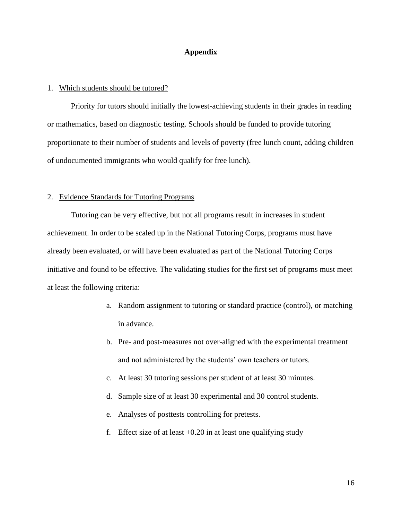# **Appendix**

#### 1. Which students should be tutored?

Priority for tutors should initially the lowest-achieving students in their grades in reading or mathematics, based on diagnostic testing. Schools should be funded to provide tutoring proportionate to their number of students and levels of poverty (free lunch count, adding children of undocumented immigrants who would qualify for free lunch).

#### 2. Evidence Standards for Tutoring Programs

Tutoring can be very effective, but not all programs result in increases in student achievement. In order to be scaled up in the National Tutoring Corps, programs must have already been evaluated, or will have been evaluated as part of the National Tutoring Corps initiative and found to be effective. The validating studies for the first set of programs must meet at least the following criteria:

- a. Random assignment to tutoring or standard practice (control), or matching in advance.
- b. Pre- and post-measures not over-aligned with the experimental treatment and not administered by the students' own teachers or tutors.
- c. At least 30 tutoring sessions per student of at least 30 minutes.
- d. Sample size of at least 30 experimental and 30 control students.
- e. Analyses of posttests controlling for pretests.
- f. Effect size of at least  $+0.20$  in at least one qualifying study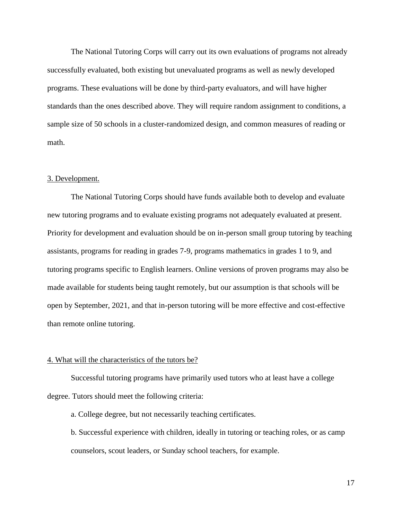The National Tutoring Corps will carry out its own evaluations of programs not already successfully evaluated, both existing but unevaluated programs as well as newly developed programs. These evaluations will be done by third-party evaluators, and will have higher standards than the ones described above. They will require random assignment to conditions, a sample size of 50 schools in a cluster-randomized design, and common measures of reading or math.

#### 3. Development.

The National Tutoring Corps should have funds available both to develop and evaluate new tutoring programs and to evaluate existing programs not adequately evaluated at present. Priority for development and evaluation should be on in-person small group tutoring by teaching assistants, programs for reading in grades 7-9, programs mathematics in grades 1 to 9, and tutoring programs specific to English learners. Online versions of proven programs may also be made available for students being taught remotely, but our assumption is that schools will be open by September, 2021, and that in-person tutoring will be more effective and cost-effective than remote online tutoring.

## 4. What will the characteristics of the tutors be?

Successful tutoring programs have primarily used tutors who at least have a college degree. Tutors should meet the following criteria:

a. College degree, but not necessarily teaching certificates.

b. Successful experience with children, ideally in tutoring or teaching roles, or as camp counselors, scout leaders, or Sunday school teachers, for example.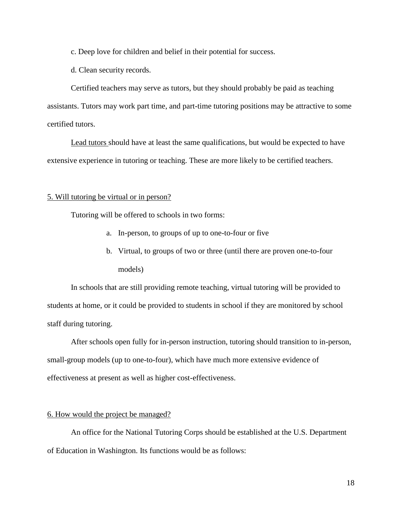c. Deep love for children and belief in their potential for success.

d. Clean security records.

Certified teachers may serve as tutors, but they should probably be paid as teaching assistants. Tutors may work part time, and part-time tutoring positions may be attractive to some certified tutors.

Lead tutors should have at least the same qualifications, but would be expected to have extensive experience in tutoring or teaching. These are more likely to be certified teachers.

#### 5. Will tutoring be virtual or in person?

Tutoring will be offered to schools in two forms:

- a. In-person, to groups of up to one-to-four or five
- b. Virtual, to groups of two or three (until there are proven one-to-four models)

In schools that are still providing remote teaching, virtual tutoring will be provided to students at home, or it could be provided to students in school if they are monitored by school staff during tutoring.

After schools open fully for in-person instruction, tutoring should transition to in-person, small-group models (up to one-to-four), which have much more extensive evidence of effectiveness at present as well as higher cost-effectiveness.

# 6. How would the project be managed?

An office for the National Tutoring Corps should be established at the U.S. Department of Education in Washington. Its functions would be as follows: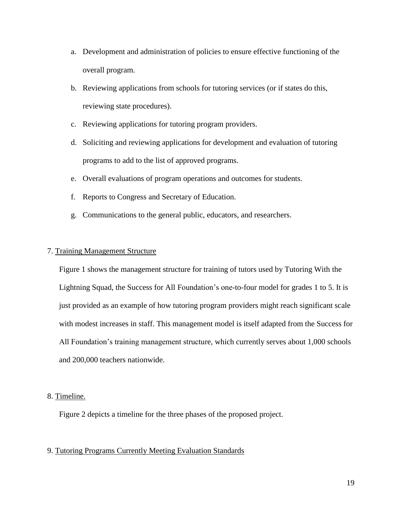- a. Development and administration of policies to ensure effective functioning of the overall program.
- b. Reviewing applications from schools for tutoring services (or if states do this, reviewing state procedures).
- c. Reviewing applications for tutoring program providers.
- d. Soliciting and reviewing applications for development and evaluation of tutoring programs to add to the list of approved programs.
- e. Overall evaluations of program operations and outcomes for students.
- f. Reports to Congress and Secretary of Education.
- g. Communications to the general public, educators, and researchers.

# 7. Training Management Structure

Figure 1 shows the management structure for training of tutors used by Tutoring With the Lightning Squad, the Success for All Foundation's one-to-four model for grades 1 to 5. It is just provided as an example of how tutoring program providers might reach significant scale with modest increases in staff. This management model is itself adapted from the Success for All Foundation's training management structure, which currently serves about 1,000 schools and 200,000 teachers nationwide.

# 8. Timeline.

Figure 2 depicts a timeline for the three phases of the proposed project.

# 9. Tutoring Programs Currently Meeting Evaluation Standards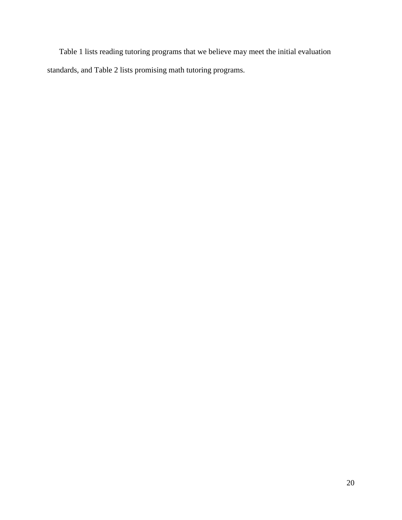Table 1 lists reading tutoring programs that we believe may meet the initial evaluation standards, and Table 2 lists promising math tutoring programs.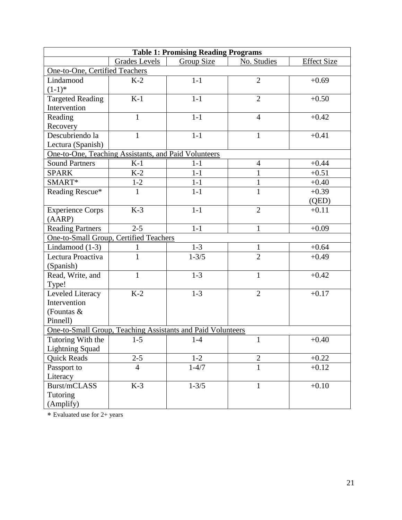| <b>Table 1: Promising Reading Programs</b>                  |                      |            |                  |                    |  |  |
|-------------------------------------------------------------|----------------------|------------|------------------|--------------------|--|--|
|                                                             | <b>Grades Levels</b> | Group Size | No. Studies      | <b>Effect Size</b> |  |  |
| One-to-One, Certified Teachers                              |                      |            |                  |                    |  |  |
| Lindamood                                                   | $K-2$                | $1-1$      | $\overline{2}$   | $+0.69$            |  |  |
| $(1-1)*$                                                    |                      |            |                  |                    |  |  |
| <b>Targeted Reading</b>                                     | $K-1$                | $1-1$      | $\overline{2}$   | $+0.50$            |  |  |
| Intervention                                                |                      |            |                  |                    |  |  |
| Reading                                                     | 1                    | $1-1$      | $\overline{4}$   | $+0.42$            |  |  |
| Recovery                                                    |                      |            |                  |                    |  |  |
| Descubriendo la                                             | $\mathbf{1}$         | $1-1$      | $\mathbf{1}$     | $+0.41$            |  |  |
| Lectura (Spanish)                                           |                      |            |                  |                    |  |  |
| One-to-One, Teaching Assistants, and Paid Volunteers        |                      |            |                  |                    |  |  |
| <b>Sound Partners</b>                                       | $K-1$                | $1-1$      | $\overline{4}$   | $+0.44$            |  |  |
| <b>SPARK</b>                                                | $K-2$                | $1-1$      | $\mathbf{1}$     | $+0.51$            |  |  |
| SMART*                                                      | $1-2$                | $1 - 1$    | $\mathbf{1}$     | $+0.40$            |  |  |
| Reading Rescue*                                             | $\mathbf{1}$         | $1-1$      | $\mathbf{1}$     | $+0.39$            |  |  |
|                                                             |                      |            |                  | (QED)              |  |  |
| <b>Experience Corps</b>                                     | $K-3$                | $1-1$      | $\overline{2}$   | $+0.11$            |  |  |
| (AARP)                                                      |                      |            |                  |                    |  |  |
| <b>Reading Partners</b>                                     | $2 - 5$              | $1-1$      | $\mathbf{1}$     | $+0.09$            |  |  |
| One-to-Small Group, Certified Teachers                      |                      |            |                  |                    |  |  |
| Lindamood $(1-3)$                                           | 1                    | $1 - 3$    | $\mathbf{1}$     | $+0.64$            |  |  |
| Lectura Proactiva                                           | $\mathbf{1}$         | $1 - 3/5$  | $\overline{2}$   | $+0.49$            |  |  |
| (Spanish)                                                   |                      |            |                  |                    |  |  |
| Read, Write, and                                            | 1                    | $1 - 3$    | $\mathbf{1}$     | $+0.42$            |  |  |
| Type!                                                       |                      |            |                  |                    |  |  |
| Leveled Literacy                                            | $K-2$                | $1 - 3$    | $\overline{2}$   | $+0.17$            |  |  |
| Intervention                                                |                      |            |                  |                    |  |  |
| (Fountas &                                                  |                      |            |                  |                    |  |  |
| Pinnell)                                                    |                      |            |                  |                    |  |  |
| One-to-Small Group, Teaching Assistants and Paid Volunteers |                      |            |                  |                    |  |  |
| Tutoring With the                                           | $1 - 5$              | $1-4$      | 1                | $+0.40$            |  |  |
| <b>Lightning Squad</b>                                      |                      |            |                  |                    |  |  |
| Quick Reads                                                 | $2 - 5$              | $1 - 2$    | $\boldsymbol{2}$ | $+0.22$            |  |  |
| Passport to                                                 | $\overline{4}$       | $1 - 4/7$  | $\overline{1}$   | $+0.12$            |  |  |
| Literacy                                                    |                      |            |                  |                    |  |  |
| Burst/mCLASS                                                | $K-3$                | $1 - 3/5$  | $\mathbf{1}$     | $+0.10$            |  |  |
| Tutoring                                                    |                      |            |                  |                    |  |  |
| (Amplify)                                                   |                      |            |                  |                    |  |  |

Evaluated use for 2+ years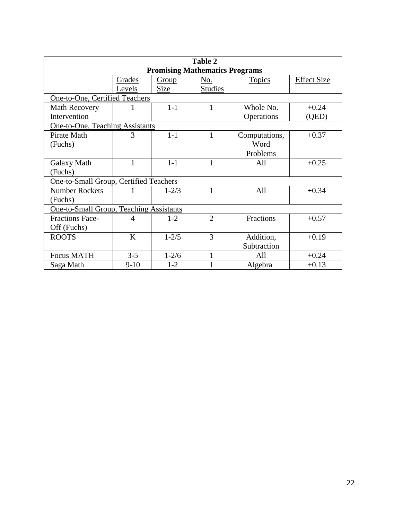| <b>Table 2</b><br><b>Promising Mathematics Programs</b> |         |              |                |               |                    |  |
|---------------------------------------------------------|---------|--------------|----------------|---------------|--------------------|--|
|                                                         | Grades  | <u>Group</u> | <u>No.</u>     | <b>Topics</b> | <b>Effect Size</b> |  |
|                                                         | Levels  | Size         | <b>Studies</b> |               |                    |  |
| One-to-One, Certified Teachers                          |         |              |                |               |                    |  |
| <b>Math Recovery</b>                                    |         | $1-1$        | $\mathbf{1}$   | Whole No.     | $+0.24$            |  |
| Intervention                                            |         |              |                | Operations    | (QED)              |  |
| <b>One-to-One, Teaching Assistants</b>                  |         |              |                |               |                    |  |
| Pirate Math                                             | 3       | $1-1$        | 1              | Computations, | $+0.37$            |  |
| (Fuchs)                                                 |         |              |                | Word          |                    |  |
|                                                         |         |              |                | Problems      |                    |  |
| <b>Galaxy Math</b>                                      | 1       | $1-1$        | $\mathbf{1}$   | All           | $+0.25$            |  |
| (Fuchs)                                                 |         |              |                |               |                    |  |
| One-to-Small Group, Certified Teachers                  |         |              |                |               |                    |  |
| <b>Number Rockets</b>                                   |         | $1 - 2/3$    | $\mathbf{1}$   | All           | $+0.34$            |  |
| (Fuchs)                                                 |         |              |                |               |                    |  |
| <b>One-to-Small Group, Teaching Assistants</b>          |         |              |                |               |                    |  |
| <b>Fractions Face-</b>                                  | 4       | $1 - 2$      | $\overline{2}$ | Fractions     | $+0.57$            |  |
| Off (Fuchs)                                             |         |              |                |               |                    |  |
| <b>ROOTS</b>                                            | K       | $1 - 2/5$    | 3              | Addition,     | $+0.19$            |  |
|                                                         |         |              |                | Subtraction   |                    |  |
| <b>Focus MATH</b>                                       | $3 - 5$ | $1 - 2/6$    | $\mathbf{1}$   | All           | $+0.24$            |  |
| Saga Math                                               | $9-10$  | $1 - 2$      | 1              | Algebra       | $+0.13$            |  |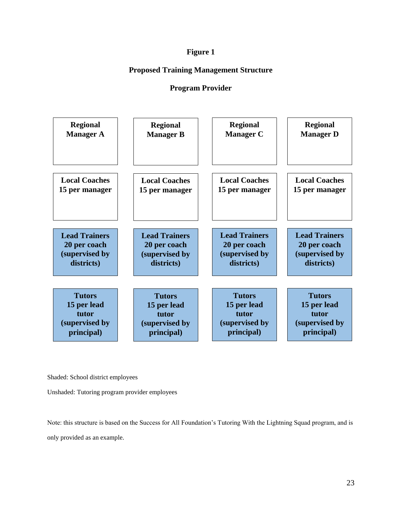# **Figure 1**

# **Proposed Training Management Structure**

# **Program Provider**

| <b>Regional</b>      | <b>Regional</b>      | <b>Regional</b>      | <b>Regional</b>      |
|----------------------|----------------------|----------------------|----------------------|
| <b>Manager A</b>     | <b>Manager B</b>     | <b>Manager C</b>     | <b>Manager D</b>     |
| <b>Local Coaches</b> | <b>Local Coaches</b> | <b>Local Coaches</b> | <b>Local Coaches</b> |
| 15 per manager       | 15 per manager       | 15 per manager       | 15 per manager       |
| <b>Lead Trainers</b> | <b>Lead Trainers</b> | <b>Lead Trainers</b> | <b>Lead Trainers</b> |
| 20 per coach         | 20 per coach         | 20 per coach         | 20 per coach         |
| (supervised by       | (supervised by       | (supervised by       | (supervised by       |
| districts)           | districts)           | districts)           | districts)           |
| <b>Tutors</b>        | <b>Tutors</b>        | <b>Tutors</b>        | <b>Tutors</b>        |
| 15 per lead          | 15 per lead          | 15 per lead          | 15 per lead          |
| tutor                | tutor                | tutor                | tutor                |
| (supervised by       | (supervised by       | (supervised by       | (supervised by       |
| principal)           | principal)           | principal)           | principal)           |

Shaded: School district employees

Unshaded: Tutoring program provider employees

Note: this structure is based on the Success for All Foundation's Tutoring With the Lightning Squad program, and is only provided as an example.